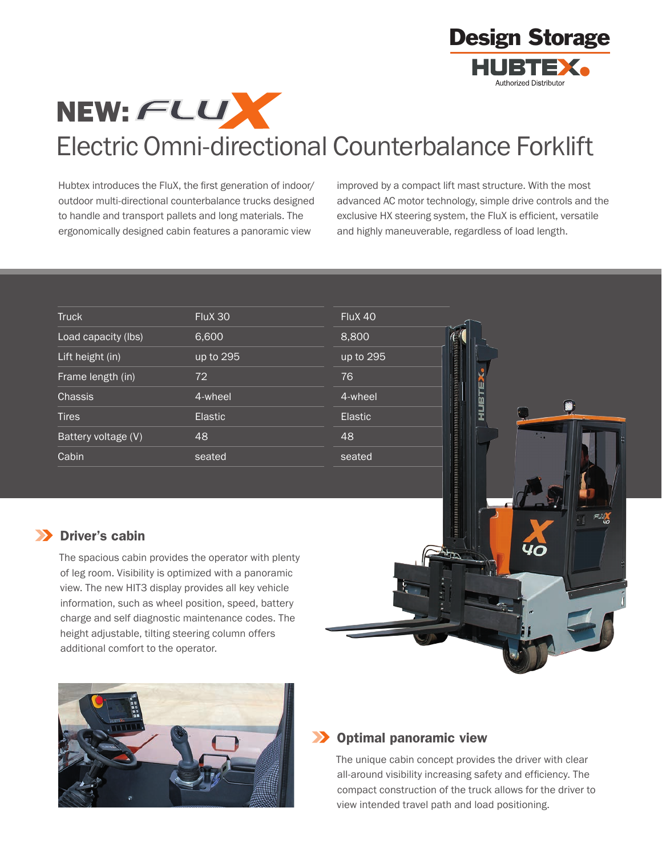



# Electric Omni-directional Counterbalance Forklift

Hubtex introduces the FluX, the first generation of indoor/ outdoor multi-directional counterbalance trucks designed to handle and transport pallets and long materials. The ergonomically designed cabin features a panoramic view

improved by a compact lift mast structure. With the most advanced AC motor technology, simple drive controls and the exclusive HX steering system, the FluX is efficient, versatile and highly maneuverable, regardless of load length.

| <b>Truck</b>        | FluX 30        | FluX 40        |
|---------------------|----------------|----------------|
| Load capacity (lbs) | 6,600          | 8,800          |
| Lift height (in)    | up to 295      | up to 295      |
| Frame length (in)   | 72             | 76             |
| Chassis             | 4-wheel        | 4-wheel        |
| Tires               | <b>Elastic</b> | <b>Elastic</b> |
| Battery voltage (V) | 48             | 48             |
| Cabin               | seated         | seated         |



# **XX** Driver's cabin

The spacious cabin provides the operator with plenty of leg room. Visibility is optimized with a panoramic view. The new HIT3 display provides all key vehicle information, such as wheel position, speed, battery charge and self diagnostic maintenance codes. The height adjustable, tilting steering column offers additional comfort to the operator.



## **XX** Optimal panoramic view

The unique cabin concept provides the driver with clear all-around visibility increasing safety and efficiency. The compact construction of the truck allows for the driver to view intended travel path and load positioning.